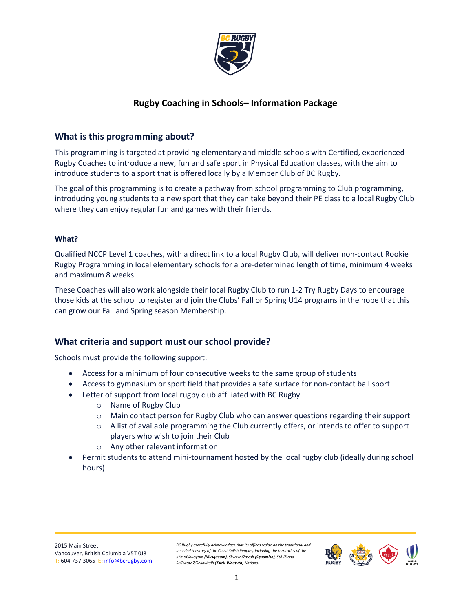

# **Rugby Coaching in Schools– Information Package**

## **What is this programming about?**

This programming is targeted at providing elementary and middle schools with Certified, experienced Rugby Coaches to introduce a new, fun and safe sport in Physical Education classes, with the aim to introduce students to a sport that is offered locally by a Member Club of BC Rugby.

The goal of this programming is to create a pathway from school programming to Club programming, introducing young students to a new sport that they can take beyond their PE class to a local Rugby Club where they can enjoy regular fun and games with their friends.

#### **What?**

Qualified NCCP Level 1 coaches, with a direct link to a local Rugby Club, will deliver non-contact Rookie Rugby Programming in local elementary schools for a pre-determined length of time, minimum 4 weeks and maximum 8 weeks.

These Coaches will also work alongside their local Rugby Club to run 1-2 Try Rugby Days to encourage those kids at the school to register and join the Clubs' Fall or Spring U14 programs in the hope that this can grow our Fall and Spring season Membership.

#### **What criteria and support must our school provide?**

Schools must provide the following support:

- Access for a minimum of four consecutive weeks to the same group of students
- Access to gymnasium or sport field that provides a safe surface for non-contact ball sport
- Letter of support from local rugby club affiliated with BC Rugby
	- o Name of Rugby Club
	- o Main contact person for Rugby Club who can answer questions regarding their support
	- $\circ$  A list of available programming the Club currently offers, or intends to offer to support players who wish to join their Club
	- o Any other relevant information
- Permit students to attend mini-tournament hosted by the local rugby club (ideally during school hours)

*BC Rugby gratefully acknowledges that its offices reside on the traditional and unceded territory of the Coast Salish Peoples, including the territories of the xʷməθkwəy̓əm (Musqueam), Skwxwú7mesh (Squamish), Stó:lō and Səl̓ílwətaʔ/Selilwitulh (Tsleil-Waututh) Nations.*

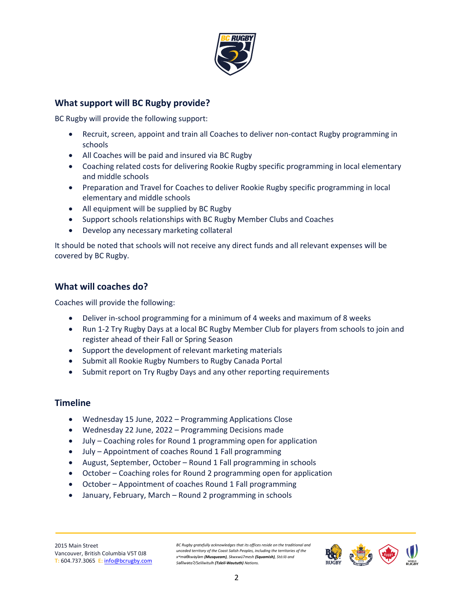

## **What support will BC Rugby provide?**

BC Rugby will provide the following support:

- Recruit, screen, appoint and train all Coaches to deliver non-contact Rugby programming in schools
- All Coaches will be paid and insured via BC Rugby
- Coaching related costs for delivering Rookie Rugby specific programming in local elementary and middle schools
- Preparation and Travel for Coaches to deliver Rookie Rugby specific programming in local elementary and middle schools
- All equipment will be supplied by BC Rugby
- Support schools relationships with BC Rugby Member Clubs and Coaches
- Develop any necessary marketing collateral

It should be noted that schools will not receive any direct funds and all relevant expenses will be covered by BC Rugby.

# **What will coaches do?**

Coaches will provide the following:

- Deliver in-school programming for a minimum of 4 weeks and maximum of 8 weeks
- Run 1-2 Try Rugby Days at a local BC Rugby Member Club for players from schools to join and register ahead of their Fall or Spring Season
- Support the development of relevant marketing materials
- Submit all Rookie Rugby Numbers to Rugby Canada Portal
- Submit report on Try Rugby Days and any other reporting requirements

#### **Timeline**

- Wednesday 15 June, 2022 Programming Applications Close
- Wednesday 22 June, 2022 Programming Decisions made
- July Coaching roles for Round 1 programming open for application
- July Appointment of coaches Round 1 Fall programming
- August, September, October Round 1 Fall programming in schools
- October Coaching roles for Round 2 programming open for application
- October Appointment of coaches Round 1 Fall programming
- January, February, March Round 2 programming in schools

*BC Rugby gratefully acknowledges that its offices reside on the traditional and unceded territory of the Coast Salish Peoples, including the territories of the xʷməθkwəy̓əm (Musqueam), Skwxwú7mesh (Squamish), Stó:lō and Səl̓ílwətaʔ/Selilwitulh (Tsleil-Waututh) Nations.*